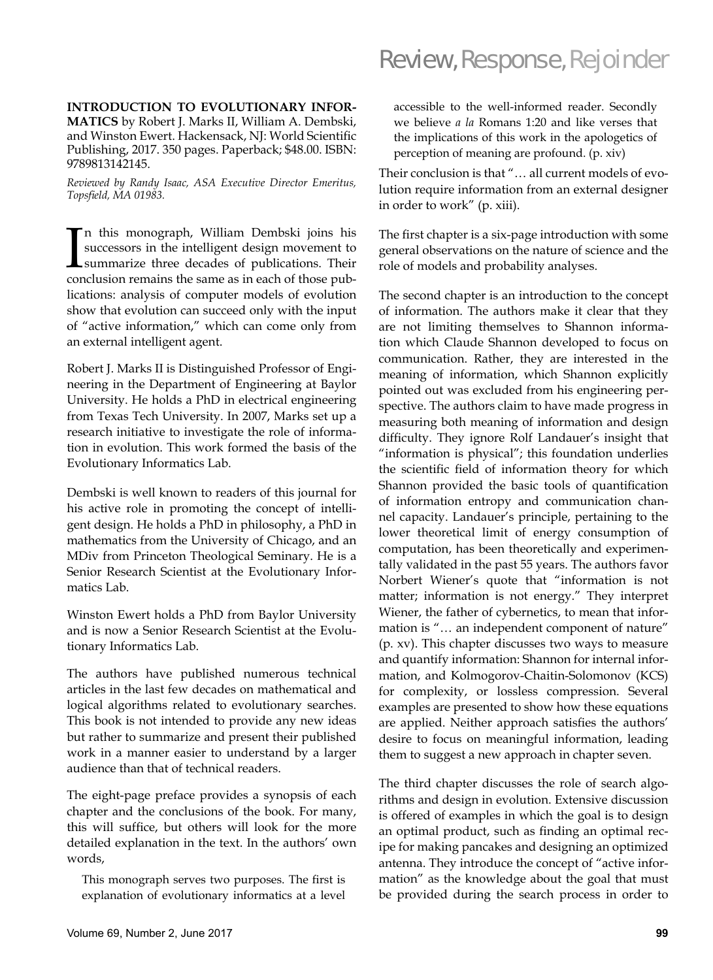#### **INTRODUCTION TO EVOLUTIONARY INFOR-MATICS** by Robert J. Marks II, William A. Dembski, and Winston Ewert. Hackensack, NJ: World Scientific Publishing, 2017. 350 pages. Paperback; \$48.00. ISBN: 9789813142145.

*Reviewed by Randy Isaac, ASA Executive Director Emeritus, Topsfi eld, MA 01983.*

I n this monograph, William Dembski joins his successors in the intelligent design movement to summarize three decades of publications. Their conclusion remains the same as in each of those publications: analysis of computer models of evolution show that evolution can succeed only with the input of "active information," which can come only from an external intelligent agent.

Robert J. Marks II is Distinguished Professor of Engineering in the Department of Engineering at Baylor University. He holds a PhD in electrical engineering from Texas Tech University. In 2007, Marks set up a research initiative to investigate the role of information in evolution. This work formed the basis of the Evolutionary Informatics Lab.

Dembski is well known to readers of this journal for his active role in promoting the concept of intelligent design. He holds a PhD in philosophy, a PhD in mathematics from the University of Chicago, and an MDiv from Princeton Theological Seminary. He is a Senior Research Scientist at the Evolutionary Informatics Lab.

Winston Ewert holds a PhD from Baylor University and is now a Senior Research Scientist at the Evolutionary Informatics Lab.

The authors have published numerous technical articles in the last few decades on mathematical and logical algorithms related to evolutionary searches. This book is not intended to provide any new ideas but rather to summarize and present their published work in a manner easier to understand by a larger audience than that of technical readers.

The eight-page preface provides a synopsis of each chapter and the conclusions of the book. For many, this will suffice, but others will look for the more detailed explanation in the text. In the authors' own words,

This monograph serves two purposes. The first is explanation of evolutionary informatics at a level

## Review, Response, Rejoinder

accessible to the well-informed reader. Secondly we believe *a la* Romans 1:20 and like verses that the implications of this work in the apologetics of perception of meaning are profound. (p. xiv)

Their conclusion is that "… all current models of evolution require information from an external designer in order to work" (p. xiii).

The first chapter is a six-page introduction with some general observations on the nature of science and the role of models and probability analyses.

The second chapter is an introduction to the concept of information. The authors make it clear that they are not limiting themselves to Shannon information which Claude Shannon developed to focus on communication. Rather, they are interested in the meaning of information, which Shannon explicitly pointed out was excluded from his engineering perspective. The authors claim to have made progress in measuring both meaning of information and design difficulty. They ignore Rolf Landauer's insight that "information is physical"; this foundation underlies the scientific field of information theory for which Shannon provided the basic tools of quantification of information entropy and communication channel capacity. Landauer's principle, pertaining to the lower theoretical limit of energy consumption of computation, has been theoretically and experimentally validated in the past 55 years. The authors favor Norbert Wiener's quote that "information is not matter; information is not energy." They interpret Wiener, the father of cybernetics, to mean that information is "… an independent component of nature" (p. xv). This chapter discusses two ways to measure and quantify information: Shannon for internal information, and Kolmogorov-Chaitin-Solomonov (KCS) for complexity, or lossless compression. Several examples are presented to show how these equations are applied. Neither approach satisfies the authors' desire to focus on meaningful information, leading them to suggest a new approach in chapter seven.

The third chapter discusses the role of search algorithms and design in evolution. Extensive discussion is offered of examples in which the goal is to design an optimal product, such as finding an optimal recipe for making pancakes and designing an optimized antenna. They introduce the concept of "active information" as the knowledge about the goal that must be provided during the search process in order to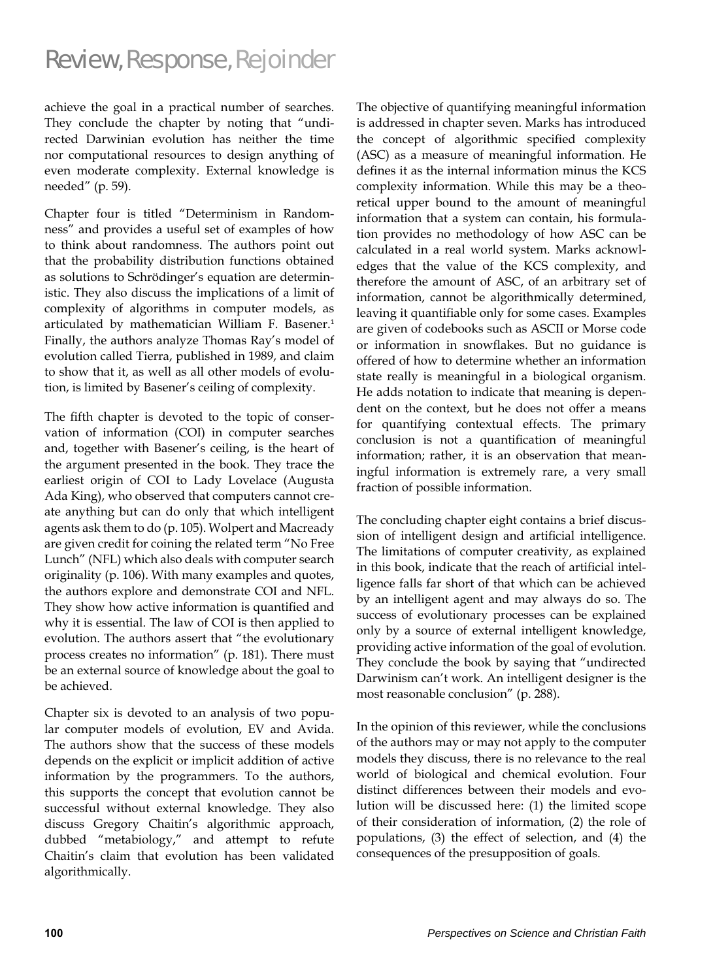achieve the goal in a practical number of searches. They conclude the chapter by noting that "undirected Darwinian evolution has neither the time nor computational resources to design anything of even moderate complexity. External knowledge is needed" (p. 59).

Chapter four is titled "Determinism in Randomness" and provides a useful set of examples of how to think about randomness. The authors point out that the probability distribution functions obtained as solutions to Schrödinger's equation are deterministic. They also discuss the implications of a limit of complexity of algorithms in computer models, as articulated by mathematician William F. Basener.<sup>1</sup> Finally, the authors analyze Thomas Ray's model of evolution called Tierra, published in 1989, and claim to show that it, as well as all other models of evolution, is limited by Basener's ceiling of complexity.

The fifth chapter is devoted to the topic of conservation of information (COI) in computer searches and, together with Basener's ceiling, is the heart of the argument presented in the book. They trace the earliest origin of COI to Lady Lovelace (Augusta Ada King), who observed that computers cannot create anything but can do only that which intelligent agents ask them to do (p. 105). Wolpert and Macready are given credit for coining the related term "No Free Lunch" (NFL) which also deals with computer search originality (p. 106). With many examples and quotes, the authors explore and demonstrate COI and NFL. They show how active information is quantified and why it is essential. The law of COI is then applied to evolution. The authors assert that "the evolutionary process creates no information" (p. 181). There must be an external source of knowledge about the goal to be achieved.

Chapter six is devoted to an analysis of two popular computer models of evolution, EV and Avida. The authors show that the success of these models depends on the explicit or implicit addition of active information by the programmers. To the authors, this supports the concept that evolution cannot be successful without external knowledge. They also discuss Gregory Chaitin's algorithmic approach, dubbed "metabiology," and attempt to refute Chaitin's claim that evolution has been validated algorithmically.

The objective of quantifying meaningful information is addressed in chapter seven. Marks has introduced the concept of algorithmic specified complexity (ASC) as a measure of meaningful information. He defines it as the internal information minus the KCS complexity information. While this may be a theoretical upper bound to the amount of meaningful information that a system can contain, his formulation provides no methodology of how ASC can be calculated in a real world system. Marks acknowledges that the value of the KCS complexity, and therefore the amount of ASC, of an arbitrary set of information, cannot be algorithmically determined, leaving it quantifiable only for some cases. Examples are given of codebooks such as ASCII or Morse code or information in snowflakes. But no guidance is offered of how to determine whether an information state really is meaningful in a biological organism. He adds notation to indicate that meaning is dependent on the context, but he does not offer a means for quantifying contextual effects. The primary conclusion is not a quantification of meaningful information; rather, it is an observation that meaningful information is extremely rare, a very small fraction of possible information.

The concluding chapter eight contains a brief discussion of intelligent design and artificial intelligence. The limitations of computer creativity, as explained in this book, indicate that the reach of artificial intelligence falls far short of that which can be achieved by an intelligent agent and may always do so. The success of evolutionary processes can be explained only by a source of external intelligent knowledge, providing active information of the goal of evolution. They conclude the book by saying that "undirected Darwinism can't work. An intelligent designer is the most reasonable conclusion" (p. 288).

In the opinion of this reviewer, while the conclusions of the authors may or may not apply to the computer models they discuss, there is no relevance to the real world of biological and chemical evolution. Four distinct differences between their models and evolution will be discussed here: (1) the limited scope of their consideration of information, (2) the role of populations, (3) the effect of selection, and (4) the consequences of the presupposition of goals.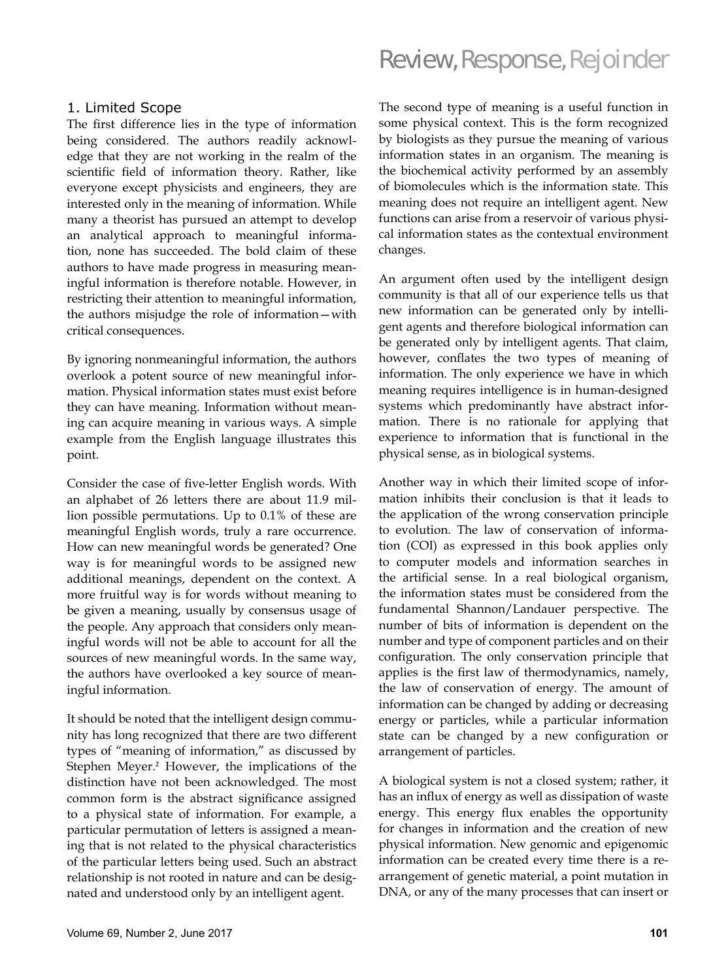#### 1. Limited Scope

The first difference lies in the type of information being considered. The authors readily acknowledge that they are not working in the realm of the scientific field of information theory. Rather, like everyone except physicists and engineers, they are interested only in the meaning of information. While many a theorist has pursued an attempt to develop an analytical approach to meaningful information, none has succeeded. The bold claim of these authors to have made progress in measuring meaningful information is therefore notable. However, in restricting their attention to meaningful information, the authors misjudge the role of information—with critical consequences.

By ignoring nonmeaningful information, the authors overlook a potent source of new meaningful information. Physical information states must exist before they can have meaning. Information without meaning can acquire meaning in various ways. A simple example from the English language illustrates this point.

Consider the case of five-letter English words. With an alphabet of 26 letters there are about 11.9 million possible permutations. Up to 0.1% of these are meaningful English words, truly a rare occurrence. How can new meaningful words be generated? One way is for meaningful words to be assigned new additional meanings, dependent on the context. A more fruitful way is for words without meaning to be given a meaning, usually by consensus usage of the people. Any approach that considers only meaningful words will not be able to account for all the sources of new meaningful words. In the same way, the authors have overlooked a key source of meaningful information.

It should be noted that the intelligent design community has long recognized that there are two different types of "meaning of information," as discussed by Stephen Meyer.<sup>2</sup> However, the implications of the distinction have not been acknowledged. The most common form is the abstract significance assigned to a physical state of information. For example, a particular permutation of letters is assigned a meaning that is not related to the physical characteristics of the particular letters being used. Such an abstract relationship is not rooted in nature and can be designated and understood only by an intelligent agent.

### Review, Response, Rejoinder

The second type of meaning is a useful function in some physical context. This is the form recognized by biologists as they pursue the meaning of various information states in an organism. The meaning is the biochemical activity performed by an assembly of biomolecules which is the information state. This meaning does not require an intelligent agent. New functions can arise from a reservoir of various physical information states as the contextual environment changes.

An argument often used by the intelligent design community is that all of our experience tells us that new information can be generated only by intelligent agents and therefore biological information can be generated only by intelligent agents. That claim, however, conflates the two types of meaning of information. The only experience we have in which meaning requires intelligence is in human-designed systems which predominantly have abstract information. There is no rationale for applying that experience to information that is functional in the physical sense, as in biological systems.

Another way in which their limited scope of information inhibits their conclusion is that it leads to the application of the wrong conservation principle to evolution. The law of conservation of information (COI) as expressed in this book applies only to computer models and information searches in the artificial sense. In a real biological organism, the information states must be considered from the fundamental Shannon/Landauer perspective. The number of bits of information is dependent on the number and type of component particles and on their configuration. The only conservation principle that applies is the first law of thermodynamics, namely, the law of conservation of energy. The amount of information can be changed by adding or decreasing energy or particles, while a particular information state can be changed by a new configuration or arrangement of particles.

A biological system is not a closed system; rather, it has an influx of energy as well as dissipation of waste energy. This energy flux enables the opportunity for changes in information and the creation of new physical information. New genomic and epigenomic information can be created every time there is a rearrangement of genetic material, a point mutation in DNA, or any of the many processes that can insert or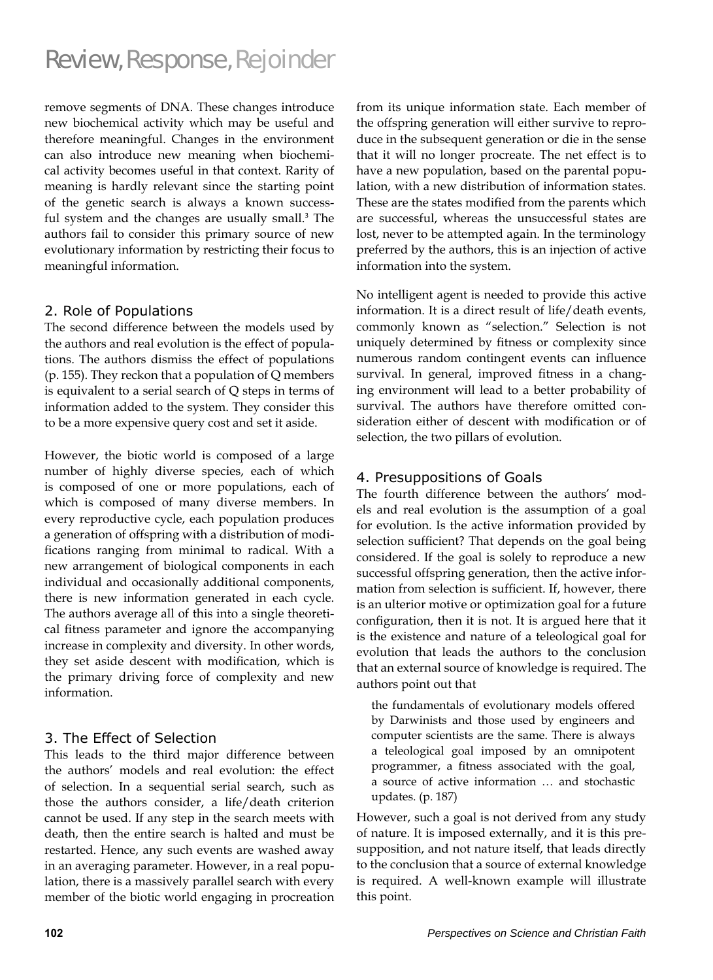remove segments of DNA. These changes introduce new biochemical activity which may be useful and therefore meaningful. Changes in the environment can also introduce new meaning when biochemical activity becomes useful in that context. Rarity of meaning is hardly relevant since the starting point of the genetic search is always a known successful system and the changes are usually small.<sup>3</sup> The authors fail to consider this primary source of new evolutionary information by restricting their focus to meaningful information.

### 2. Role of Populations

The second difference between the models used by the authors and real evolution is the effect of populations. The authors dismiss the effect of populations (p. 155). They reckon that a population of Q members is equivalent to a serial search of Q steps in terms of information added to the system. They consider this to be a more expensive query cost and set it aside.

However, the biotic world is composed of a large number of highly diverse species, each of which is composed of one or more populations, each of which is composed of many diverse members. In every reproductive cycle, each population produces a generation of offspring with a distribution of modifications ranging from minimal to radical. With a new arrangement of biological components in each individual and occasionally additional components, there is new information generated in each cycle. The authors average all of this into a single theoretical fitness parameter and ignore the accompanying increase in complexity and diversity. In other words, they set aside descent with modification, which is the primary driving force of complexity and new information.

### 3. The Effect of Selection

This leads to the third major difference between the authors' models and real evolution: the effect of selection. In a sequential serial search, such as those the authors consider, a life/death criterion cannot be used. If any step in the search meets with death, then the entire search is halted and must be restarted. Hence, any such events are washed away in an averaging parameter. However, in a real population, there is a massively parallel search with every member of the biotic world engaging in procreation from its unique information state. Each member of the offspring generation will either survive to reproduce in the subsequent generation or die in the sense that it will no longer procreate. The net effect is to have a new population, based on the parental population, with a new distribution of information states. These are the states modified from the parents which are successful, whereas the unsuccessful states are lost, never to be attempted again. In the terminology preferred by the authors, this is an injection of active information into the system.

No intelligent agent is needed to provide this active information. It is a direct result of life/death events, commonly known as "selection." Selection is not uniquely determined by fitness or complexity since numerous random contingent events can influence survival. In general, improved fitness in a changing environment will lead to a better probability of survival. The authors have therefore omitted consideration either of descent with modification or of selection, the two pillars of evolution.

### 4. Presuppositions of Goals

The fourth difference between the authors' models and real evolution is the assumption of a goal for evolution. Is the active information provided by selection sufficient? That depends on the goal being considered. If the goal is solely to reproduce a new successful offspring generation, then the active information from selection is sufficient. If, however, there is an ulterior motive or optimization goal for a future configuration, then it is not. It is argued here that it is the existence and nature of a teleological goal for evolution that leads the authors to the conclusion that an external source of knowledge is required. The authors point out that

the fundamentals of evolutionary models offered by Darwinists and those used by engineers and computer scientists are the same. There is always a teleological goal imposed by an omnipotent programmer, a fitness associated with the goal, a source of active information … and stochastic updates. (p. 187)

However, such a goal is not derived from any study of nature. It is imposed externally, and it is this presupposition, and not nature itself, that leads directly to the conclusion that a source of external knowledge is required. A well-known example will illustrate this point.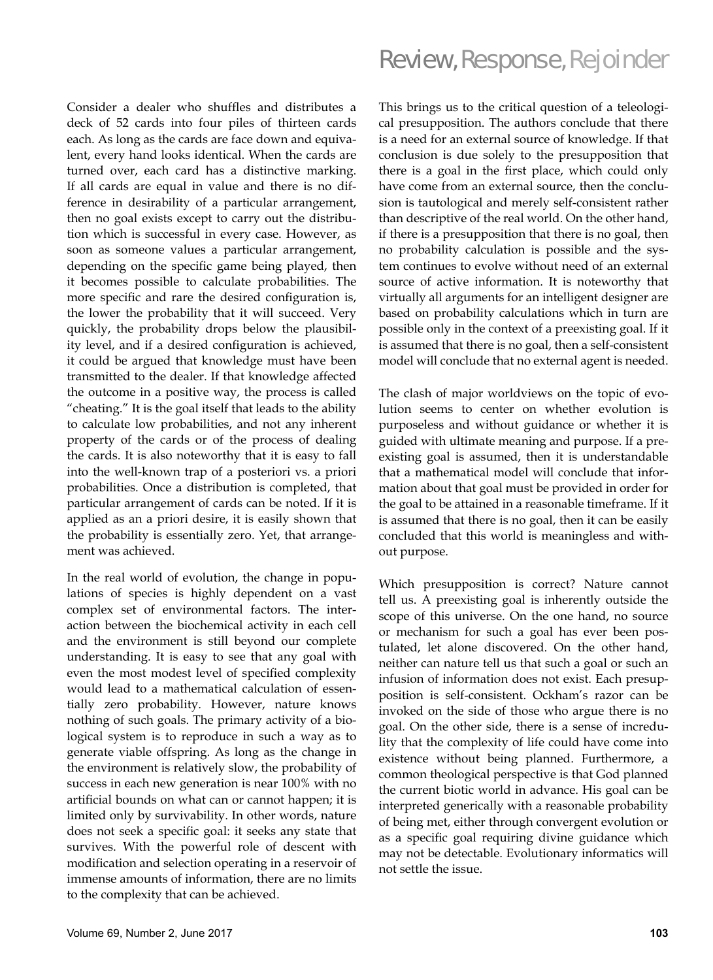Consider a dealer who shuffles and distributes a deck of 52 cards into four piles of thirteen cards each. As long as the cards are face down and equivalent, every hand looks identical. When the cards are turned over, each card has a distinctive marking. If all cards are equal in value and there is no difference in desirability of a particular arrangement, then no goal exists except to carry out the distribution which is successful in every case. However, as soon as someone values a particular arrangement, depending on the specific game being played, then it becomes possible to calculate probabilities. The more specific and rare the desired configuration is, the lower the probability that it will succeed. Very quickly, the probability drops below the plausibility level, and if a desired configuration is achieved, it could be argued that knowledge must have been transmitted to the dealer. If that knowledge affected the outcome in a positive way, the process is called "cheating." It is the goal itself that leads to the ability to calculate low probabilities, and not any inherent property of the cards or of the process of dealing the cards. It is also noteworthy that it is easy to fall into the well-known trap of a posteriori vs. a priori probabilities. Once a distribution is completed, that particular arrangement of cards can be noted. If it is applied as an a priori desire, it is easily shown that the probability is essentially zero. Yet, that arrangement was achieved.

In the real world of evolution, the change in populations of species is highly dependent on a vast complex set of environmental factors. The interaction between the biochemical activity in each cell and the environment is still beyond our complete understanding. It is easy to see that any goal with even the most modest level of specified complexity would lead to a mathematical calculation of essentially zero probability. However, nature knows nothing of such goals. The primary activity of a biological system is to reproduce in such a way as to generate viable offspring. As long as the change in the environment is relatively slow, the probability of success in each new generation is near 100% with no artificial bounds on what can or cannot happen; it is limited only by survivability. In other words, nature does not seek a specific goal: it seeks any state that survives. With the powerful role of descent with modification and selection operating in a reservoir of immense amounts of information, there are no limits to the complexity that can be achieved.

This brings us to the critical question of a teleological presupposition. The authors conclude that there is a need for an external source of knowledge. If that conclusion is due solely to the presupposition that there is a goal in the first place, which could only have come from an external source, then the conclusion is tautological and merely self-consistent rather than descriptive of the real world. On the other hand, if there is a presupposition that there is no goal, then no probability calculation is possible and the system continues to evolve without need of an external source of active information. It is noteworthy that virtually all arguments for an intelligent designer are based on probability calculations which in turn are possible only in the context of a preexisting goal. If it is assumed that there is no goal, then a self-consistent model will conclude that no external agent is needed.

The clash of major worldviews on the topic of evolution seems to center on whether evolution is purposeless and without guidance or whether it is guided with ultimate meaning and purpose. If a preexisting goal is assumed, then it is understandable that a mathematical model will conclude that information about that goal must be provided in order for the goal to be attained in a reasonable timeframe. If it is assumed that there is no goal, then it can be easily concluded that this world is meaningless and without purpose.

Which presupposition is correct? Nature cannot tell us. A preexisting goal is inherently outside the scope of this universe. On the one hand, no source or mechanism for such a goal has ever been postulated, let alone discovered. On the other hand, neither can nature tell us that such a goal or such an infusion of information does not exist. Each presupposition is self-consistent. Ockham's razor can be invoked on the side of those who argue there is no goal. On the other side, there is a sense of incredulity that the complexity of life could have come into existence without being planned. Furthermore, a common theological perspective is that God planned the current biotic world in advance. His goal can be interpreted generically with a reasonable probability of being met, either through convergent evolution or as a specific goal requiring divine guidance which may not be detectable. Evolutionary informatics will not settle the issue.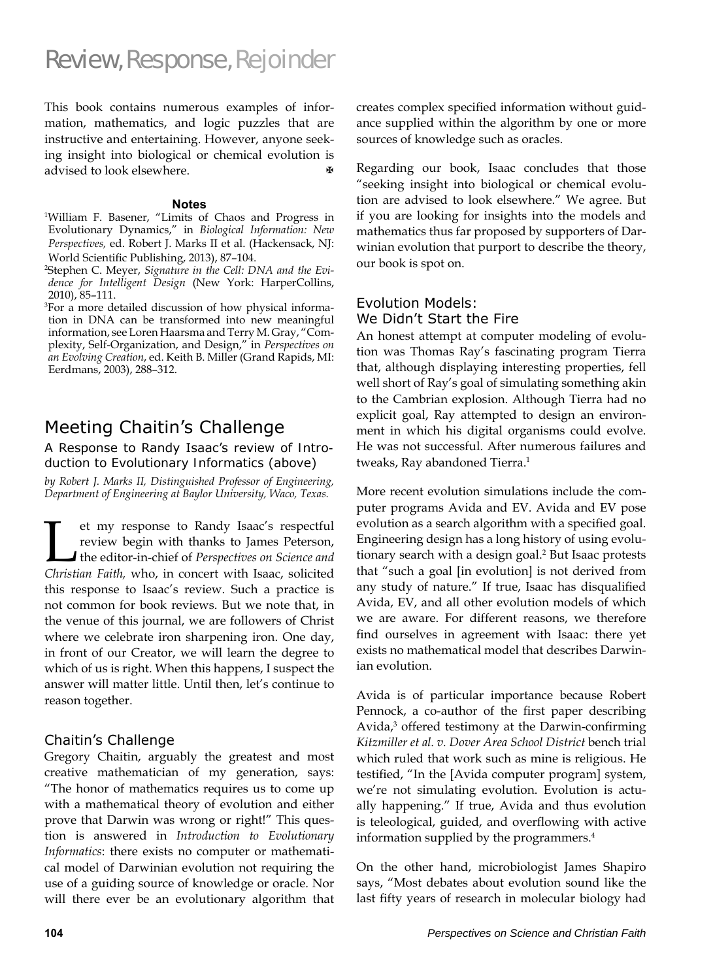This book contains numerous examples of information, mathematics, and logic puzzles that are instructive and entertaining. However, anyone seeking insight into biological or chemical evolution is advised to look elsewhere.

#### **Notes**

1 William F. Basener, "Limits of Chaos and Progress in Evolutionary Dynamics," in *Biological Information: New Perspectives,* ed. Robert J. Marks II et al. (Hackensack, NJ: World Scientific Publishing, 2013), 87-104.

Stephen C. Meyer, *Signature in the Cell: DNA and the Evidence for Intelligent Design* (New York: HarperCollins, 2010), 85–111.

3 For a more detailed discussion of how physical information in DNA can be transformed into new meaningful information, see Loren Haarsma and Terry M. Gray, "Complexity, Self-Organization, and Design," in *Perspectives on an Evolving Creation*, ed. Keith B. Miller (Grand Rapids, MI: Eerdmans, 2003), 288–312.

### Meeting Chaitin's Challenge

A Response to Randy Isaac's review of *Introduction to Evolutionary Informatics* (above)

*by Robert J. Marks II, Distinguished Professor of Engineering, Department of Engineering at Baylor University, Waco, Texas.* 

et my response to Randy Isaac's respectful<br>review begin with thanks to James Peterson,<br>the editor-in-chief of *Perspectives on Science and*<br>*Christian Eaith* who in concert with Isaac solicited review begin with thanks to James Peterson, the editor-in-chief of *Perspectives on Science and Christian Faith,* who, in concert with Isaac, solicited this response to Isaac's review. Such a practice is not common for book reviews. But we note that, in the venue of this journal, we are followers of Christ where we celebrate iron sharpening iron. One day, in front of our Creator, we will learn the degree to which of us is right. When this happens, I suspect the answer will matter little. Until then, let's continue to reason together.

#### Chaitin's Challenge

Gregory Chaitin, arguably the greatest and most creative mathematician of my generation, says: "The honor of mathematics requires us to come up with a mathematical theory of evolution and either prove that Darwin was wrong or right!" This question is answered in *Introduction to Evolutionary Informatics*: there exists no computer or mathematical model of Darwinian evolution not requiring the use of a guiding source of knowledge or oracle. Nor will there ever be an evolutionary algorithm that

creates complex specified information without guidance supplied within the algorithm by one or more sources of knowledge such as oracles.

Regarding our book, Isaac concludes that those "seeking insight into biological or chemical evolution are advised to look elsewhere." We agree. But if you are looking for insights into the models and mathematics thus far proposed by supporters of Darwinian evolution that purport to describe the theory, our book is spot on.

#### Evolution Models: We Didn't Start the Fire

An honest attempt at computer modeling of evolution was Thomas Ray's fascinating program Tierra that, although displaying interesting properties, fell well short of Ray's goal of simulating something akin to the Cambrian explosion. Although Tierra had no explicit goal, Ray attempted to design an environment in which his digital organisms could evolve. He was not successful. After numerous failures and tweaks, Ray abandoned Tierra.<sup>1</sup>

More recent evolution simulations include the computer programs Avida and EV. Avida and EV pose evolution as a search algorithm with a specified goal. Engineering design has a long history of using evolutionary search with a design goal.2 But Isaac protests that "such a goal [in evolution] is not derived from any study of nature." If true, Isaac has disqualified Avida, EV, and all other evolution models of which we are aware. For different reasons, we therefore find ourselves in agreement with Isaac: there yet exists no mathematical model that describes Darwinian evolution.

Avida is of particular importance because Robert Pennock, a co-author of the first paper describing Avida,<sup>3</sup> offered testimony at the Darwin-confirming *Kitzmiller et al. v. Dover Area School District* bench trial which ruled that work such as mine is religious. He testified, "In the [Avida computer program] system, we're not simulating evolution. Evolution is actually happening." If true, Avida and thus evolution is teleological, guided, and overflowing with active information supplied by the programmers.4

On the other hand, microbiologist James Shapiro says, "Most debates about evolution sound like the last fifty years of research in molecular biology had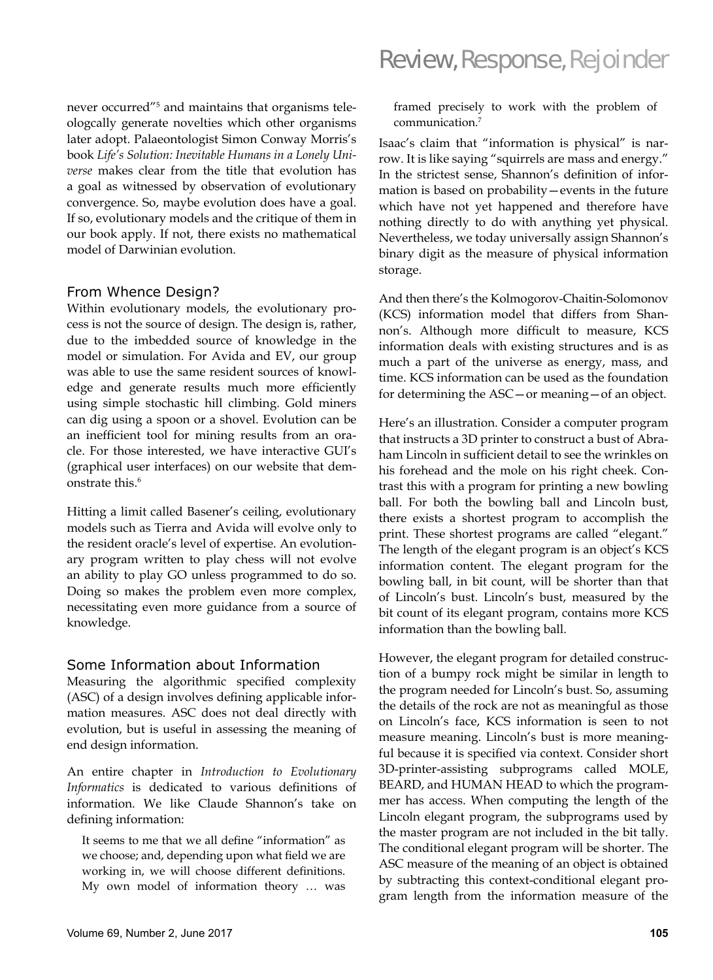never occurred"5 and maintains that organisms teleologcally generate novelties which other organisms later adopt. Palaeontologist Simon Conway Morris's book *Life's Solution: Inevitable Humans in a Lonely Universe* makes clear from the title that evolution has a goal as witnessed by observation of evolutionary convergence. So, maybe evolution does have a goal. If so, evolutionary models and the critique of them in our book apply. If not, there exists no mathematical model of Darwinian evolution.

#### From Whence Design?

Within evolutionary models, the evolutionary process is not the source of design. The design is, rather, due to the imbedded source of knowledge in the model or simulation. For Avida and EV, our group was able to use the same resident sources of knowledge and generate results much more efficiently using simple stochastic hill climbing. Gold miners can dig using a spoon or a shovel. Evolution can be an inefficient tool for mining results from an oracle. For those interested, we have interactive GUI's (graphical user interfaces) on our website that demonstrate this.<sup>6</sup>

Hitting a limit called Basener's ceiling, evolutionary models such as Tierra and Avida will evolve only to the resident oracle's level of expertise. An evolutionary program written to play chess will not evolve an ability to play GO unless programmed to do so. Doing so makes the problem even more complex, necessitating even more guidance from a source of knowledge.

#### Some Information about Information

Measuring the algorithmic specified complexity (ASC) of a design involves defining applicable information measures. ASC does not deal directly with evolution, but is useful in assessing the meaning of end design information.

An entire chapter in *Introduction to Evolutionary Informatics* is dedicated to various definitions of information. We like Claude Shannon's take on defining information:

It seems to me that we all define "information" as we choose; and, depending upon what field we are working in, we will choose different definitions. My own model of information theory … was

## Review, Response, Rejoinder

framed precisely to work with the problem of communication.7

Isaac's claim that "information is physical" is narrow. It is like saying "squirrels are mass and energy." In the strictest sense, Shannon's definition of information is based on probability—events in the future which have not yet happened and therefore have nothing directly to do with anything yet physical. Nevertheless, we today universally assign Shannon's binary digit as the measure of physical information storage.

And then there's the Kolmogorov-Chaitin-Solomonov (KCS) information model that differs from Shannon's. Although more difficult to measure, KCS information deals with existing structures and is as much a part of the universe as energy, mass, and time. KCS information can be used as the foundation for determining the ASC—or meaning—of an object.

Here's an illustration. Consider a computer program that instructs a 3D printer to construct a bust of Abraham Lincoln in sufficient detail to see the wrinkles on his forehead and the mole on his right cheek. Contrast this with a program for printing a new bowling ball. For both the bowling ball and Lincoln bust, there exists a shortest program to accomplish the print. These shortest programs are called "elegant." The length of the elegant program is an object's KCS information content. The elegant program for the bowling ball, in bit count, will be shorter than that of Lincoln's bust. Lincoln's bust, measured by the bit count of its elegant program, contains more KCS information than the bowling ball.

However, the elegant program for detailed construction of a bumpy rock might be similar in length to the program needed for Lincoln's bust. So, assuming the details of the rock are not as meaningful as those on Lincoln's face, KCS information is seen to not measure meaning. Lincoln's bust is more meaningful because it is specified via context. Consider short 3D-printer-assisting subprograms called MOLE, BEARD, and HUMAN HEAD to which the programmer has access. When computing the length of the Lincoln elegant program, the subprograms used by the master program are not included in the bit tally. The conditional elegant program will be shorter. The ASC measure of the meaning of an object is obtained by subtracting this context-conditional elegant program length from the information measure of the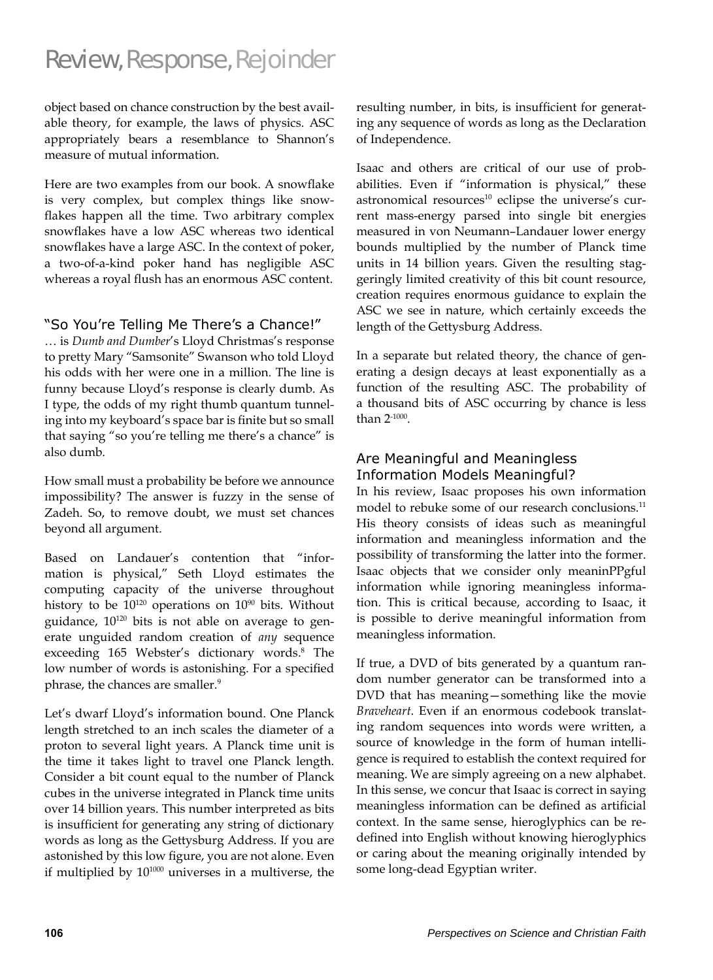object based on chance construction by the best available theory, for example, the laws of physics. ASC appropriately bears a resemblance to Shannon's measure of mutual information.

Here are two examples from our book. A snowflake is very complex, but complex things like snowflakes happen all the time. Two arbitrary complex snowflakes have a low ASC whereas two identical snowflakes have a large ASC. In the context of poker, a two-of-a-kind poker hand has negligible ASC whereas a royal flush has an enormous ASC content.

#### "So You're Telling Me There's a Chance!"

… is *Dumb and Dumber*'s Lloyd Christmas's response to pretty Mary "Samsonite" Swanson who told Lloyd his odds with her were one in a million. The line is funny because Lloyd's response is clearly dumb. As I type, the odds of my right thumb quantum tunneling into my keyboard's space bar is finite but so small that saying "so you're telling me there's a chance" is also dumb.

How small must a probability be before we announce impossibility? The answer is fuzzy in the sense of Zadeh. So, to remove doubt, we must set chances beyond all argument.

Based on Landauer's contention that "information is physical," Seth Lloyd estimates the computing capacity of the universe throughout history to be  $10^{120}$  operations on  $10^{90}$  bits. Without guidance,  $10^{120}$  bits is not able on average to generate unguided random creation of *any* sequence exceeding 165 Webster's dictionary words.<sup>8</sup> The low number of words is astonishing. For a specified phrase, the chances are smaller.9

Let's dwarf Lloyd's information bound. One Planck length stretched to an inch scales the diameter of a proton to several light years. A Planck time unit is the time it takes light to travel one Planck length. Consider a bit count equal to the number of Planck cubes in the universe integrated in Planck time units over 14 billion years. This number interpreted as bits is insufficient for generating any string of dictionary words as long as the Gettysburg Address. If you are astonished by this low figure, you are not alone. Even if multiplied by  $10^{1000}$  universes in a multiverse, the

resulting number, in bits, is insufficient for generating any sequence of words as long as the Declaration of Independence.

Isaac and others are critical of our use of probabilities. Even if "information is physical," these astronomical resources<sup>10</sup> eclipse the universe's current mass-energy parsed into single bit energies measured in von Neumann–Landauer lower energy bounds multiplied by the number of Planck time units in 14 billion years. Given the resulting staggeringly limited creativity of this bit count resource, creation requires enormous guidance to explain the ASC we see in nature, which certainly exceeds the length of the Gettysburg Address.

In a separate but related theory, the chance of generating a design decays at least exponentially as a function of the resulting ASC. The probability of a thousand bits of ASC occurring by chance is less than 2-1000.

### Are Meaningful and Meaningless Information Models Meaningful?

In his review, Isaac proposes his own information model to rebuke some of our research conclusions.<sup>11</sup> His theory consists of ideas such as meaningful information and meaningless information and the possibility of transforming the latter into the former. Isaac objects that we consider only meaninPPgful information while ignoring meaningless information. This is critical because, according to Isaac, it is possible to derive meaningful information from meaningless information.

If true, a DVD of bits generated by a quantum random number generator can be transformed into a DVD that has meaning—something like the movie *Braveheart*. Even if an enormous codebook translating random sequences into words were written, a source of knowledge in the form of human intelligence is required to establish the context required for meaning. We are simply agreeing on a new alphabet. In this sense, we concur that Isaac is correct in saying meaningless information can be defined as artificial context. In the same sense, hieroglyphics can be redefined into English without knowing hieroglyphics or caring about the meaning originally intended by some long-dead Egyptian writer.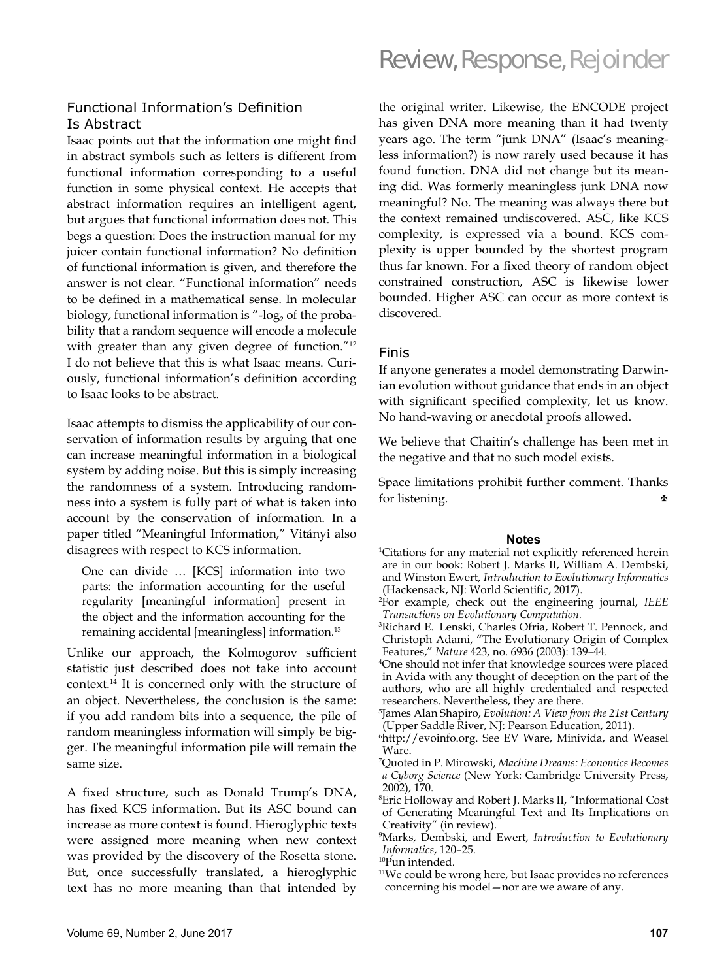#### Functional Information's Definition Is Abstract

Isaac points out that the information one might find in abstract symbols such as letters is different from functional information corresponding to a useful function in some physical context. He accepts that abstract information requires an intelligent agent, but argues that functional information does not. This begs a question: Does the instruction manual for my juicer contain functional information? No definition of functional information is given, and therefore the answer is not clear. "Functional information" needs to be defined in a mathematical sense. In molecular biology, functional information is "-log<sub>2</sub> of the probability that a random sequence will encode a molecule with greater than any given degree of function."<sup>12</sup> I do not believe that this is what Isaac means. Curiously, functional information's definition according to Isaac looks to be abstract.

Isaac attempts to dismiss the applicability of our conservation of information results by arguing that one can increase meaningful information in a biological system by adding noise. But this is simply increasing the randomness of a system. Introducing randomness into a system is fully part of what is taken into account by the conservation of information. In a paper titled "Meaningful Information," Vitányi also disagrees with respect to KCS information.

One can divide … [KCS] information into two parts: the information accounting for the useful regularity [meaningful information] present in the object and the information accounting for the remaining accidental [meaningless] information.13

Unlike our approach, the Kolmogorov sufficient statistic just described does not take into account context.14 It is concerned only with the structure of an object. Nevertheless, the conclusion is the same: if you add random bits into a sequence, the pile of random meaningless information will simply be bigger. The meaningful information pile will remain the same size.

A fixed structure, such as Donald Trump's DNA, has fixed KCS information. But its ASC bound can increase as more context is found. Hieroglyphic texts were assigned more meaning when new context was provided by the discovery of the Rosetta stone. But, once successfully translated, a hieroglyphic text has no more meaning than that intended by

### Review, Response, Rejoinder

the original writer. Likewise, the ENCODE project has given DNA more meaning than it had twenty years ago. The term "junk DNA" (Isaac's meaningless information?) is now rarely used because it has found function. DNA did not change but its meaning did. Was formerly meaningless junk DNA now meaningful? No. The meaning was always there but the context remained undiscovered. ASC, like KCS complexity, is expressed via a bound. KCS complexity is upper bounded by the shortest program thus far known. For a fixed theory of random object constrained construction, ASC is likewise lower bounded. Higher ASC can occur as more context is discovered.

#### Finis

If anyone generates a model demonstrating Darwinian evolution without guidance that ends in an object with significant specified complexity, let us know. No hand-waving or anecdotal proofs allowed.

We believe that Chaitin's challenge has been met in the negative and that no such model exists.

Space limitations prohibit further comment. Thanks for listening.

#### **Notes**

- 1 Citations for any material not explicitly referenced herein are in our book: Robert J. Marks II, William A. Dembski, and Winston Ewert, *Introduction to Evolutionary Informatics* (Hackensack, NJ: World Scientific, 2017).
- 2 For example, check out the engineering journal, *IEEE Transactions on Evolutionary Computation.*
- 3 Richard E. Lenski, Charles Ofria, Robert T. Pennock, and Christoph Adami, "The Evolutionary Origin of Complex Features," *Nature* 423, no. 6936 (2003): 139–44.
- 4 One should not infer that knowledge sources were placed in Avida with any thought of deception on the part of the authors, who are all highly credentialed and respected researchers. Nevertheless, they are there.
- 5 James Alan Shapiro, *Evolution: A View from the 21st Century* (Upper Saddle River, NJ: Pearson Education, 2011).
- 6 http://evoinfo.org. See EV Ware, Minivida, and Weasel Ware.
- 7 Quoted in P. Mirowski, *Machine Dreams: Economics Becomes a Cyborg Science* (New York: Cambridge University Press, 2002), 170.
- 8 Eric Holloway and Robert J. Marks II, "Informational Cost of Generating Meaningful Text and Its Implications on Creativity" (in review).

10Pun intended.

<sup>9</sup> Marks, Dembski, and Ewert, *Introduction to Evolutionary Informatics*, 120–25.

<sup>11</sup>We could be wrong here, but Isaac provides no references concerning his model—nor are we aware of any.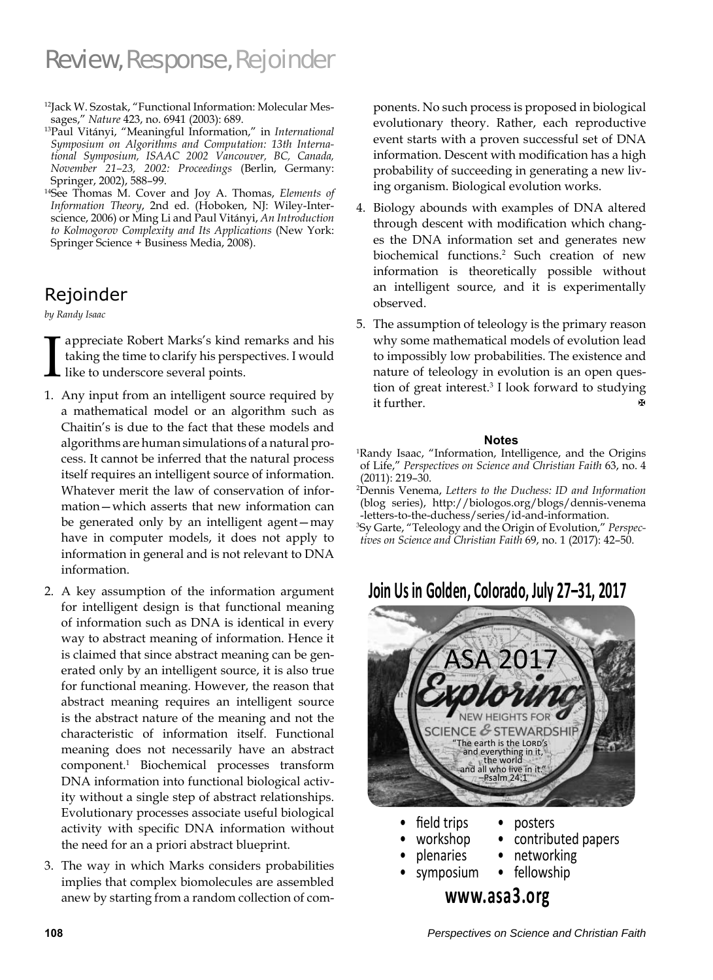- 12Jack W. Szostak, "Functional Information: Molecular Messages," *Nature* 423, no. 6941 (2003): 689.
- 13Paul Vitányi, "Meaningful Information," in *International Symposium on Algorithms and Computation: 13th International Symposium, ISAAC 2002 Vancouver, BC, Canada, November 21–23, 2002: Proceedings* (Berlin, Germany: Springer, 2002), 588–99.
- 14See Thomas M. Cover and Joy A. Thomas, *Elements of Information Theory*, 2nd ed. (Hoboken, NJ: Wiley-Interscience, 2006) or Ming Li and Paul Vitányi, *An Introduction to Kolmogorov Complexity and Its Applications* (New York: Springer Science + Business Media, 2008).

### Rejoinder

*by Randy Isaac*

appreciate Robert Marks's kind remarks and his taking the time to clarify his perspectives. I would like to underscore several points.

- 1. Any input from an intelligent source required by a mathematical model or an algorithm such as Chaitin's is due to the fact that these models and algorithms are human simulations of a natural process. It cannot be inferred that the natural process itself requires an intelligent source of information. Whatever merit the law of conservation of information—which asserts that new information can be generated only by an intelligent agent—may have in computer models, it does not apply to information in general and is not relevant to DNA information.
- 2. A key assumption of the information argument for intelligent design is that functional meaning of information such as DNA is identical in every way to abstract meaning of information. Hence it is claimed that since abstract meaning can be generated only by an intelligent source, it is also true for functional meaning. However, the reason that abstract meaning requires an intelligent source is the abstract nature of the meaning and not the characteristic of information itself. Functional meaning does not necessarily have an abstract component.1 Biochemical processes transform DNA information into functional biological activity without a single step of abstract relationships. Evolutionary processes associate useful biological activity with specific DNA information without the need for an a priori abstract blueprint.
- 3. The way in which Marks considers probabilities implies that complex biomolecules are assembled anew by starting from a random collection of com-

ponents. No such process is proposed in biological evolutionary theory. Rather, each reproductive event starts with a proven successful set of DNA information. Descent with modification has a high probability of succeeding in generating a new living organism. Biological evolution works.

- 4. Biology abounds with examples of DNA altered through descent with modification which changes the DNA information set and generates new biochemical functions.2 Such creation of new information is theoretically possible without an intelligent source, and it is experimentally observed.
- 5. The assumption of teleology is the primary reason why some mathematical models of evolution lead to impossibly low probabilities. The existence and nature of teleology in evolution is an open question of great interest.3 I look forward to studying it further.

#### **Notes**

1 Randy Isaac, "Information, Intelligence, and the Origins of Life," *Perspectives on Science and Christian Faith* 63, no. 4 (2011): 219–30.

2 Dennis Venema, *Letters to the Duchess: ID and Information* (blog series), http://biologos.org/blogs/dennis-venema -letters-to-the-duchess/series/id-and-information.

3 Sy Garte, "Teleology and the Origin of Evolution," *Perspectives on Science and Christian Faith* 69, no. 1 (2017): 42–50.

### **Join Us in Golden, Colorado, July 27–31, 2017**